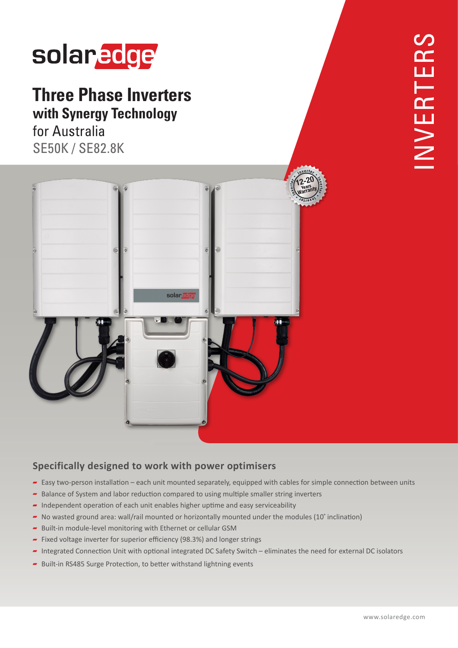# solaredge

## **Three Phase Inverters with Synergy Technology**

for Australia **SE50K / SE82.8K** 



### **Specifically designed to work with power optimisers**

- Easy two-person installation each unit mounted separately, equipped with cables for simple connection between units
- Balance of System and labor reduction compared to using multiple smaller string inverters
- $\blacksquare$  Independent operation of each unit enables higher uptime and easy serviceability
- No wasted ground area: wall/rail mounted or horizontally mounted under the modules (10° inclination)
- Built-in module-level monitoring with Ethernet or cellular GSM
- Fixed voltage inverter for superior efficiency (98.3%) and longer strings
- Integrated Connection Unit with optional integrated DC Safety Switch eliminates the need for external DC isolators
- Built-in RS485 Surge Protection, to better withstand lightning events